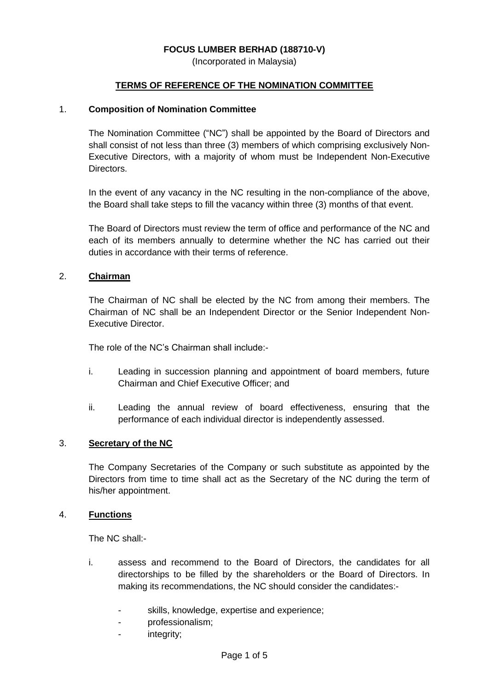## **FOCUS LUMBER BERHAD (188710-V)**

(Incorporated in Malaysia)

### **TERMS OF REFERENCE OF THE NOMINATION COMMITTEE**

#### 1. **Composition of Nomination Committee**

The Nomination Committee ("NC") shall be appointed by the Board of Directors and shall consist of not less than three (3) members of which comprising exclusively Non-Executive Directors, with a majority of whom must be Independent Non-Executive Directors.

In the event of any vacancy in the NC resulting in the non-compliance of the above, the Board shall take steps to fill the vacancy within three (3) months of that event.

The Board of Directors must review the term of office and performance of the NC and each of its members annually to determine whether the NC has carried out their duties in accordance with their terms of reference.

### 2. **Chairman**

The Chairman of NC shall be elected by the NC from among their members. The Chairman of NC shall be an Independent Director or the Senior Independent Non-Executive Director.

The role of the NC's Chairman shall include:-

- i. Leading in succession planning and appointment of board members, future Chairman and Chief Executive Officer; and
- ii. Leading the annual review of board effectiveness, ensuring that the performance of each individual director is independently assessed.

## 3. **Secretary of the NC**

The Company Secretaries of the Company or such substitute as appointed by the Directors from time to time shall act as the Secretary of the NC during the term of his/her appointment.

#### 4. **Functions**

The NC shall:-

- i. assess and recommend to the Board of Directors, the candidates for all directorships to be filled by the shareholders or the Board of Directors. In making its recommendations, the NC should consider the candidates:
	- skills, knowledge, expertise and experience;
	- professionalism;
	- integrity;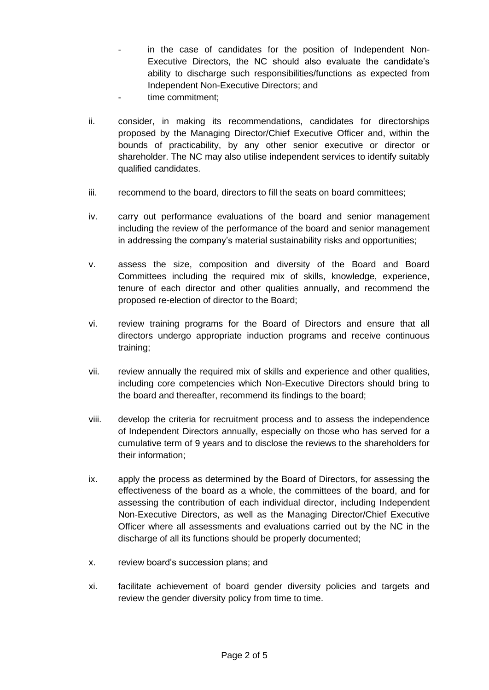- in the case of candidates for the position of Independent Non-Executive Directors, the NC should also evaluate the candidate's ability to discharge such responsibilities/functions as expected from Independent Non-Executive Directors; and
- time commitment:
- ii. consider, in making its recommendations, candidates for directorships proposed by the Managing Director/Chief Executive Officer and, within the bounds of practicability, by any other senior executive or director or shareholder. The NC may also utilise independent services to identify suitably qualified candidates.
- iii. recommend to the board, directors to fill the seats on board committees;
- iv. carry out performance evaluations of the board and senior management including the review of the performance of the board and senior management in addressing the company's material sustainability risks and opportunities;
- v. assess the size, composition and diversity of the Board and Board Committees including the required mix of skills, knowledge, experience, tenure of each director and other qualities annually, and recommend the proposed re-election of director to the Board;
- vi. review training programs for the Board of Directors and ensure that all directors undergo appropriate induction programs and receive continuous training;
- vii. review annually the required mix of skills and experience and other qualities, including core competencies which Non-Executive Directors should bring to the board and thereafter, recommend its findings to the board;
- viii. develop the criteria for recruitment process and to assess the independence of Independent Directors annually, especially on those who has served for a cumulative term of 9 years and to disclose the reviews to the shareholders for their information;
- ix. apply the process as determined by the Board of Directors, for assessing the effectiveness of the board as a whole, the committees of the board, and for assessing the contribution of each individual director, including Independent Non-Executive Directors, as well as the Managing Director/Chief Executive Officer where all assessments and evaluations carried out by the NC in the discharge of all its functions should be properly documented;
- x. review board's succession plans; and
- xi. facilitate achievement of board gender diversity policies and targets and review the gender diversity policy from time to time.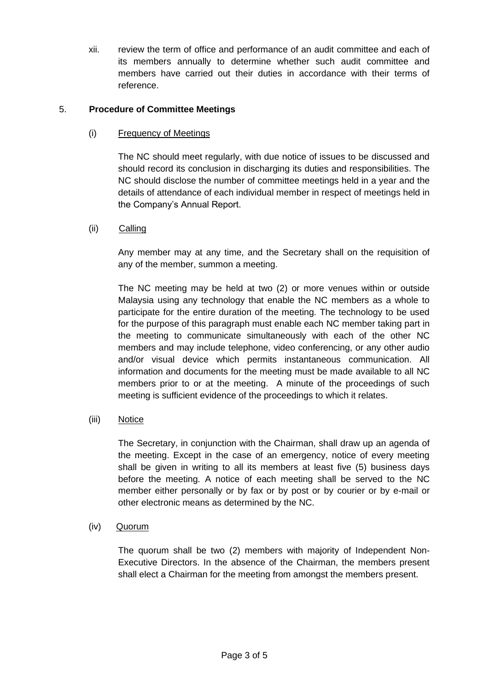xii. review the term of office and performance of an audit committee and each of its members annually to determine whether such audit committee and members have carried out their duties in accordance with their terms of reference.

## 5. **Procedure of Committee Meetings**

# (i) Frequency of Meetings

The NC should meet regularly, with due notice of issues to be discussed and should record its conclusion in discharging its duties and responsibilities. The NC should disclose the number of committee meetings held in a year and the details of attendance of each individual member in respect of meetings held in the Company's Annual Report.

## (ii)Calling

Any member may at any time, and the Secretary shall on the requisition of any of the member, summon a meeting.

The NC meeting may be held at two (2) or more venues within or outside Malaysia using any technology that enable the NC members as a whole to participate for the entire duration of the meeting. The technology to be used for the purpose of this paragraph must enable each NC member taking part in the meeting to communicate simultaneously with each of the other NC members and may include telephone, video conferencing, or any other audio and/or visual device which permits instantaneous communication. All information and documents for the meeting must be made available to all NC members prior to or at the meeting. A minute of the proceedings of such meeting is sufficient evidence of the proceedings to which it relates.

(iii) Notice

The Secretary, in conjunction with the Chairman, shall draw up an agenda of the meeting. Except in the case of an emergency, notice of every meeting shall be given in writing to all its members at least five (5) business days before the meeting. A notice of each meeting shall be served to the NC member either personally or by fax or by post or by courier or by e-mail or other electronic means as determined by the NC.

## (iv)Quorum

The quorum shall be two (2) members with majority of Independent Non-Executive Directors. In the absence of the Chairman, the members present shall elect a Chairman for the meeting from amongst the members present.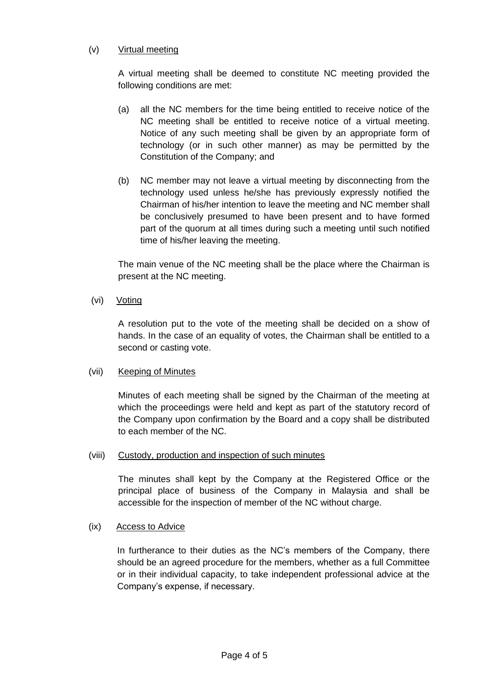# (v) Virtual meeting

A virtual meeting shall be deemed to constitute NC meeting provided the following conditions are met:

- (a) all the NC members for the time being entitled to receive notice of the NC meeting shall be entitled to receive notice of a virtual meeting. Notice of any such meeting shall be given by an appropriate form of technology (or in such other manner) as may be permitted by the Constitution of the Company; and
- (b) NC member may not leave a virtual meeting by disconnecting from the technology used unless he/she has previously expressly notified the Chairman of his/her intention to leave the meeting and NC member shall be conclusively presumed to have been present and to have formed part of the quorum at all times during such a meeting until such notified time of his/her leaving the meeting.

The main venue of the NC meeting shall be the place where the Chairman is present at the NC meeting.

(vi) Voting

A resolution put to the vote of the meeting shall be decided on a show of hands. In the case of an equality of votes, the Chairman shall be entitled to a second or casting vote.

## (vii) Keeping of Minutes

Minutes of each meeting shall be signed by the Chairman of the meeting at which the proceedings were held and kept as part of the statutory record of the Company upon confirmation by the Board and a copy shall be distributed to each member of the NC.

## (viii) Custody, production and inspection of such minutes

The minutes shall kept by the Company at the Registered Office or the principal place of business of the Company in Malaysia and shall be accessible for the inspection of member of the NC without charge.

## (ix) Access to Advice

In furtherance to their duties as the NC's members of the Company, there should be an agreed procedure for the members, whether as a full Committee or in their individual capacity, to take independent professional advice at the Company's expense, if necessary.